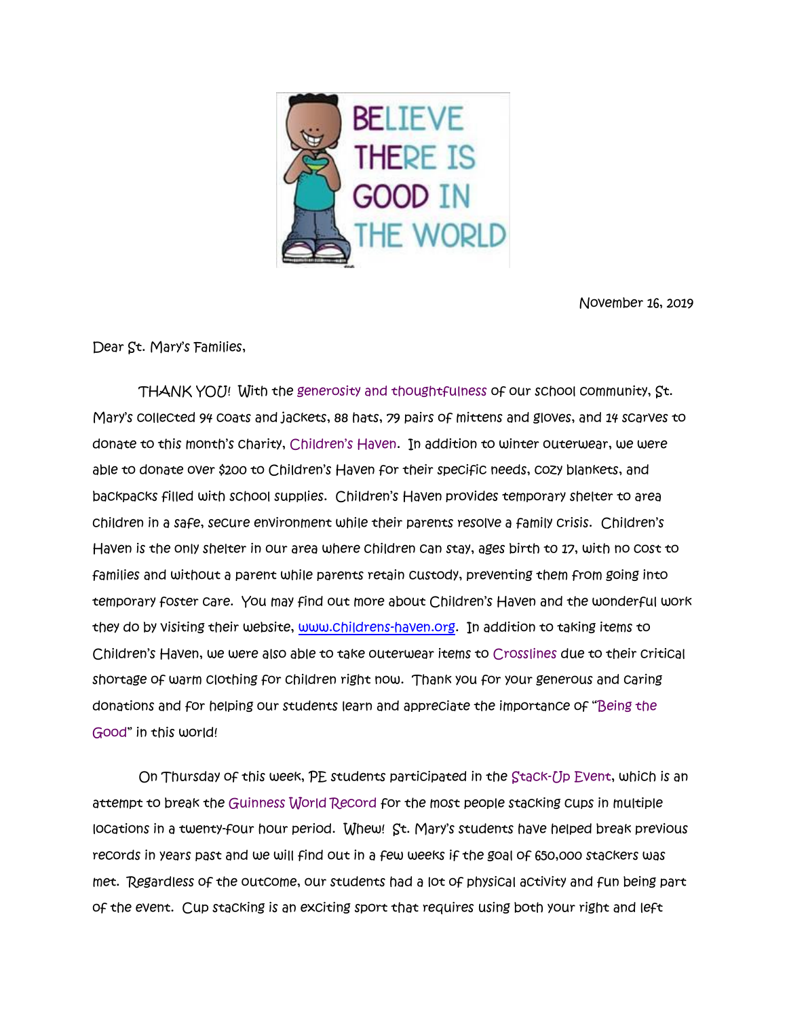

November 16, 2019

Dear St. Mary's Families,

THANK YOU! With the generosity and thoughtfulness of our school community, St. Mary's collected 94 coats and jackets, 88 hats, 79 pairs of mittens and gloves, and 14 scarves to donate to this month's charity, Children's Haven. In addition to winter outerwear, we were able to donate over \$200 to Children's Haven for their specific needs, cozy blankets, and backpacks filled with school supplies. Children's Haven provides temporary shelter to area children in a safe, secure environment while their parents resolve a family crisis. Children's Haven is the only shelter in our area where children can stay, ages birth t0 17, with no cost to families and without a parent while parents retain custody, preventing them from going into temporary foster care. You may find out more about Children's Haven and the wonderful work they do by visiting their website, [www.childrens-haven.org.](http://www.childrens-haven.org/) In addition to taking items to Children's Haven, we were also able to take outerwear items to Crosslines due to their critical shortage of warm clothing for children right now. Thank you for your generous and caring donations and for helping our students learn and appreciate the importance of "Being the Good" in this world!

 On Thursday of this week, PE students participated in the Stack-Up Event, which is an attempt to break the Guinness World Record for the most people stacking cups in multiple locations in a twenty-four hour period. Whew! St. Mary's students have helped break previous records in years past and we will find out in a few weeks if the goal of 650,000 stackers was met. Regardless of the outcome, our students had a lot of physical activity and fun being part of the event. Cup stacking is an exciting sport that requires using both your right and left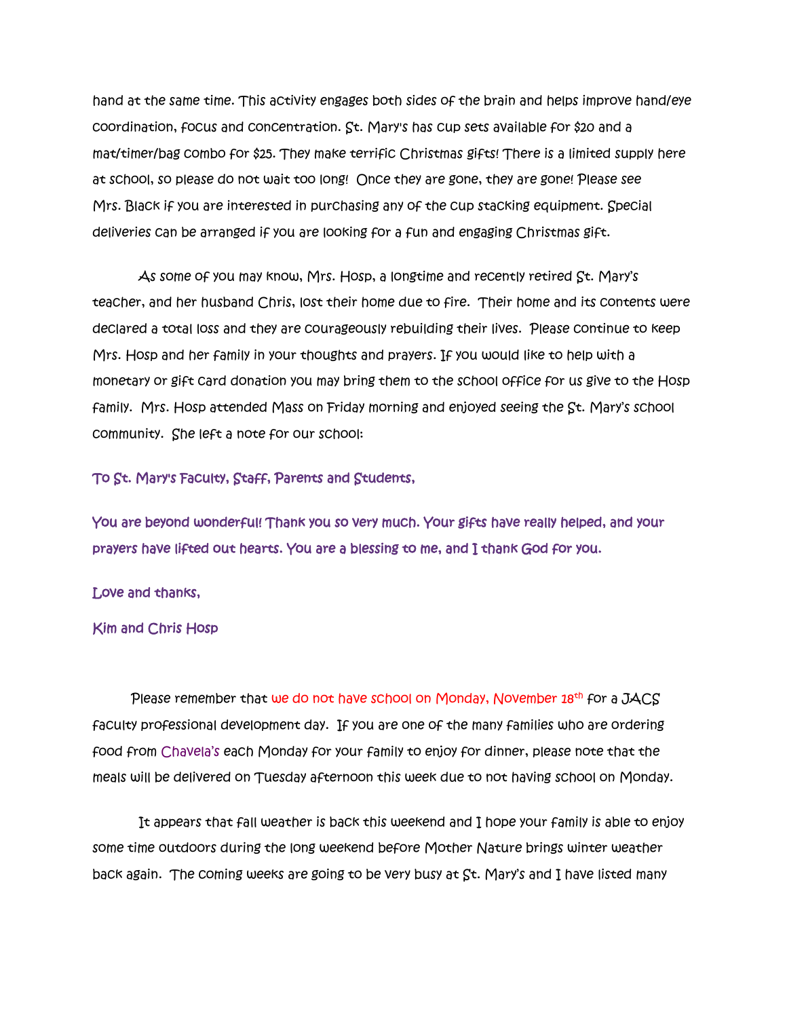hand at the same time. This activity engages both sides of the brain and helps improve hand/eye coordination, focus and concentration. St. Mary's has cup sets available for \$20 and a mat/timer/bag combo for \$25. They make terrific Christmas gifts! There is a limited supply here at school, so please do not wait too long! Once they are gone, they are gone! Please see Mrs. Black if you are interested in purchasing any of the cup stacking equipment. Special deliveries can be arranged if you are looking for a fun and engaging Christmas gift.

 As some of you may know, Mrs. Hosp, a longtime and recently retired St. Mary's teacher, and her husband Chris, lost their home due to fire. Their home and its contents were declared a total loss and they are courageously rebuilding their lives. Please continue to keep Mrs. Hosp and her family in your thoughts and prayers. If you would like to help with a monetary or gift card donation you may bring them to the school office for us give to the Hosp family. Mrs. Hosp attended Mass on Friday morning and enjoyed seeing the St. Mary's school community. She left a note for our school:

## To St. Mary's Faculty, Staff, Parents and Students,

You are beyond wonderful! Thank you so very much. Your gifts have really helped, and your prayers have lifted out hearts. You are a blessing to me, and I thank God for you.

## Love and thanks,

## Kim and Chris Hosp

Please remember that we do not have school on Monday, November 18<sup>th</sup> for a JACS faculty professional development day. If you are one of the many families who are ordering food from Chavela's each Monday for your family to enjoy for dinner, please note that the meals will be delivered on Tuesday afternoon this week due to not having school on Monday.

 It appears that fall weather is back this weekend and I hope your family is able to enjoy some time outdoors during the long weekend before Mother Nature brings winter weather back again. The coming weeks are going to be very busy at St. Mary's and I have listed many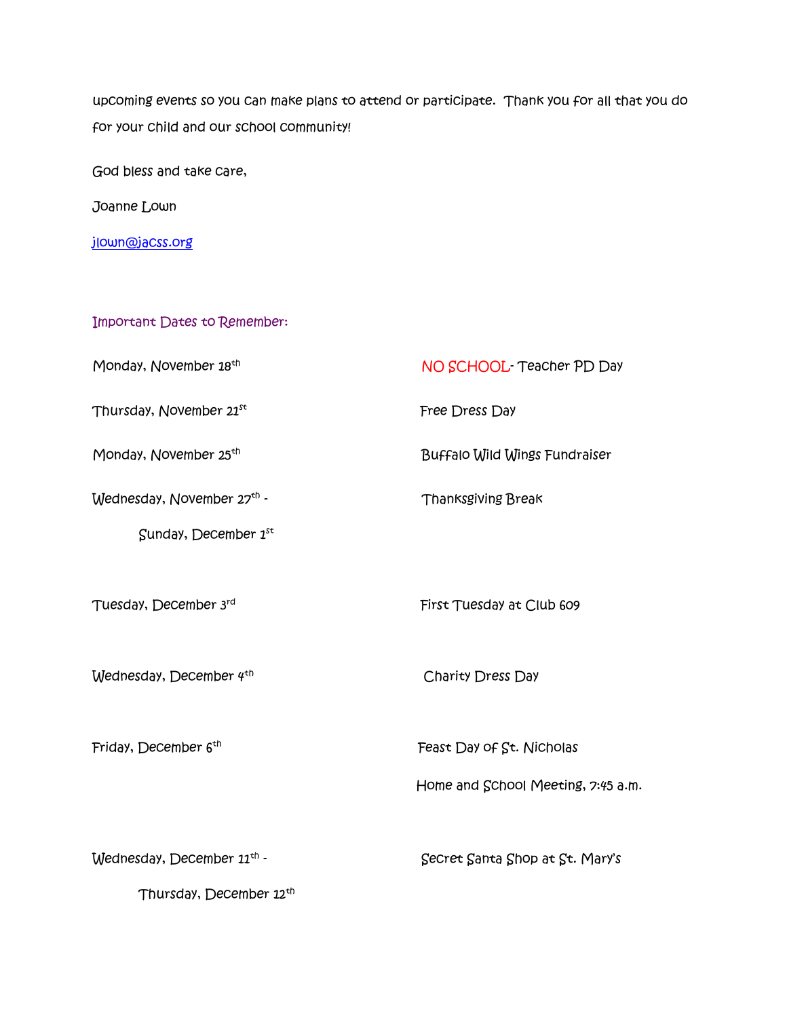upcoming events so you can make plans to attend or participate. Thank you for all that you do for your child and our school community!

God bless and take care,

Joanne Lown

[jlown@jacss.org](mailto:jlown@jacss.org)

Important Dates to Remember:

Monday, November 18<sup>th</sup>

Thursday, November 21st

Monday, November 25<sup>th</sup>

Wednesday, November 27<sup>th</sup> - Thanksgiving Break

Sunday, December  $1^{st}$ 

Tuesday, December 3rd

Wednesday, December 4<sup>th</sup>

Friday, December 6<sup>th</sup>

First Tuesday at Club 609

NO SCHOOL- Teacher PD Day

Buffalo Wild Wings Fundraiser

Free Dress Day

Charity Dress Day

Feast Day of St. Nicholas

Home and School Meeting, 7:45 a.m.

 $W$ ednesday, December  $11<sup>th</sup>$  - Secret Santa Shop at St. Mary's

Thursday, December 12th